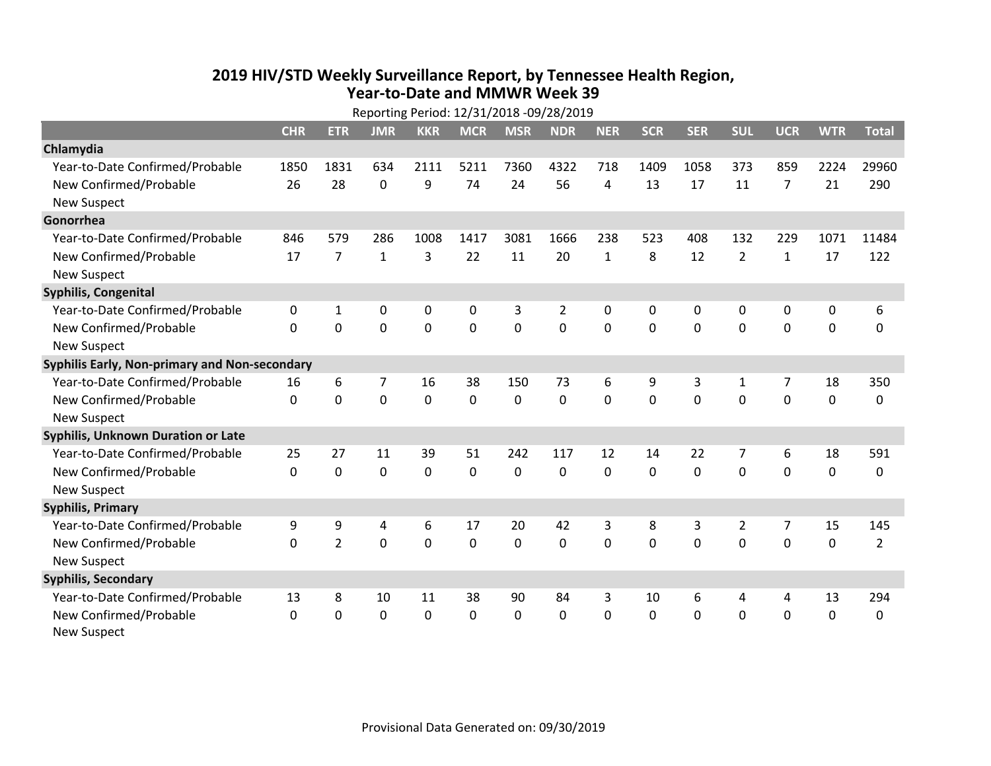## **2019 HIV /STD Weekly Surveillance Report, by Tennessee Health Region, Year‐to‐Date and MMWR Week 39**

| Reporting Period: 12/31/2018 -09/28/2019      |              |                |                |                |             |                |                |              |              |            |                |                |             |                |
|-----------------------------------------------|--------------|----------------|----------------|----------------|-------------|----------------|----------------|--------------|--------------|------------|----------------|----------------|-------------|----------------|
|                                               | <b>CHR</b>   | <b>ETR</b>     | <b>JMR</b>     | <b>KKR</b>     | <b>MCR</b>  | <b>MSR</b>     | <b>NDR</b>     | <b>NER</b>   | <b>SCR</b>   | <b>SER</b> | <b>SUL</b>     | <b>UCR</b>     | <b>WTR</b>  | <b>Total</b>   |
| Chlamydia                                     |              |                |                |                |             |                |                |              |              |            |                |                |             |                |
| Year-to-Date Confirmed/Probable               | 1850         | 1831           | 634            | 2111           | 5211        | 7360           | 4322           | 718          | 1409         | 1058       | 373            | 859            | 2224        | 29960          |
| New Confirmed/Probable                        | 26           | 28             | $\mathbf 0$    | 9              | 74          | 24             | 56             | 4            | 13           | 17         | 11             | $\overline{7}$ | 21          | 290            |
| <b>New Suspect</b>                            |              |                |                |                |             |                |                |              |              |            |                |                |             |                |
| Gonorrhea                                     |              |                |                |                |             |                |                |              |              |            |                |                |             |                |
| Year-to-Date Confirmed/Probable               | 846          | 579            | 286            | 1008           | 1417        | 3081           | 1666           | 238          | 523          | 408        | 132            | 229            | 1071        | 11484          |
| New Confirmed/Probable                        | 17           | $\overline{7}$ | $\mathbf{1}$   | 3              | 22          | 11             | 20             | $\mathbf{1}$ | 8            | 12         | $\overline{2}$ | $\mathbf{1}$   | 17          | 122            |
| <b>New Suspect</b>                            |              |                |                |                |             |                |                |              |              |            |                |                |             |                |
| <b>Syphilis, Congenital</b>                   |              |                |                |                |             |                |                |              |              |            |                |                |             |                |
| Year-to-Date Confirmed/Probable               | 0            | 1              | $\mathbf 0$    | 0              | 0           | 3              | $\overline{2}$ | 0            | 0            | 0          | 0              | 0              | 0           | 6              |
| New Confirmed/Probable                        | $\Omega$     | $\mathbf 0$    | $\mathbf 0$    | $\overline{0}$ | $\mathbf 0$ | $\overline{0}$ | 0              | $\mathbf 0$  | $\Omega$     | 0          | 0              | 0              | $\mathbf 0$ | 0              |
| <b>New Suspect</b>                            |              |                |                |                |             |                |                |              |              |            |                |                |             |                |
| Syphilis Early, Non-primary and Non-secondary |              |                |                |                |             |                |                |              |              |            |                |                |             |                |
| Year-to-Date Confirmed/Probable               | 16           | 6              | 7              | 16             | 38          | 150            | 73             | 6            | 9            | 3          | 1              | $\overline{7}$ | 18          | 350            |
| New Confirmed/Probable                        | $\Omega$     | 0              | $\mathbf 0$    | 0              | $\mathbf 0$ | 0              | 0              | $\mathbf 0$  | 0            | 0          | 0              | 0              | $\mathbf 0$ | 0              |
| <b>New Suspect</b>                            |              |                |                |                |             |                |                |              |              |            |                |                |             |                |
| <b>Syphilis, Unknown Duration or Late</b>     |              |                |                |                |             |                |                |              |              |            |                |                |             |                |
| Year-to-Date Confirmed/Probable               | 25           | 27             | 11             | 39             | 51          | 242            | 117            | 12           | 14           | 22         | 7              | 6              | 18          | 591            |
| New Confirmed/Probable                        | $\mathbf 0$  | $\mathbf 0$    | 0              | 0              | $\mathbf 0$ | $\mathbf 0$    | 0              | 0            | 0            | 0          | $\mathbf 0$    | $\mathbf 0$    | $\mathbf 0$ | 0              |
| <b>New Suspect</b>                            |              |                |                |                |             |                |                |              |              |            |                |                |             |                |
| <b>Syphilis, Primary</b>                      |              |                |                |                |             |                |                |              |              |            |                |                |             |                |
| Year-to-Date Confirmed/Probable               | 9            | 9              | 4              | 6              | 17          | 20             | 42             | 3            | 8            | 3          | $\overline{2}$ | $\overline{7}$ | 15          | 145            |
| New Confirmed/Probable                        | $\mathbf 0$  | $\overline{2}$ | $\overline{0}$ | 0              | $\mathbf 0$ | $\mathbf 0$    | 0              | $\mathbf 0$  | 0            | 0          | $\mathbf 0$    | $\mathbf 0$    | $\mathbf 0$ | $\overline{2}$ |
| <b>New Suspect</b>                            |              |                |                |                |             |                |                |              |              |            |                |                |             |                |
| <b>Syphilis, Secondary</b>                    |              |                |                |                |             |                |                |              |              |            |                |                |             |                |
| Year-to-Date Confirmed/Probable               | 13           | 8              | 10             | 11             | 38          | 90             | 84             | 3            | 10           | 6          | 4              | 4              | 13          | 294            |
| New Confirmed/Probable                        | $\mathbf{0}$ | 0              | 0              | 0              | 0           | 0              | 0              | $\mathbf 0$  | $\mathbf{0}$ | 0          | 0              | 0              | 0           | 0              |
| <b>New Suspect</b>                            |              |                |                |                |             |                |                |              |              |            |                |                |             |                |